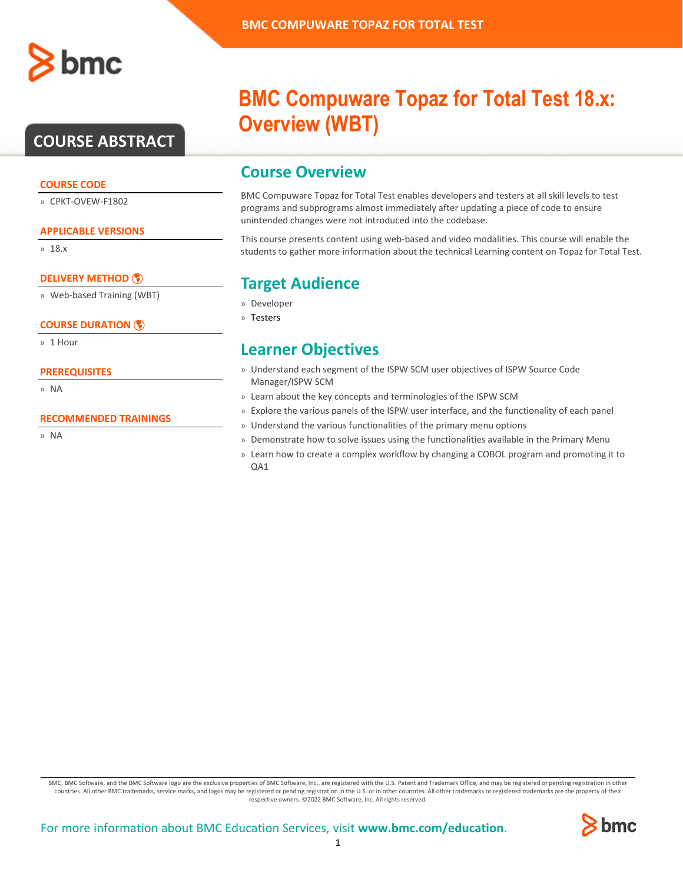

### **COURSE ABSTRACT**

#### **COURSE CODE**

» CPKT-OVEW-F1802

#### **APPLICABLE VERSIONS**

» 18.x

### **[DELIVERY METHOD](http://www.bmc.com/education/modality.html)**

» Web-based Training (WBT)

### **[COURSE DURATION](http://www.bmc.com/education/learning-paths/education-filters-learning-paths.html)**

» 1 Hour

### **PREREQUISITES**

» NA

#### **RECOMMENDED TRAININGS**

» NA

# **BMC Compuware Topaz for Total Test 18.x: Overview (WBT)**

### **Course Overview**

BMC Compuware Topaz for Total Test enables developers and testers at all skill levels to test programs and subprograms almost immediately after updating a piece of code to ensure unintended changes were not introduced into the codebase.

This course presents content using web-based and video modalities. This course will enable the students to gather more information about the technical Learning content on Topaz for Total Test.

### **Target Audience**

- » Developer
- » Testers

### **Learner Objectives**

- » Understand each segment of the ISPW SCM user objectives of ISPW Source Code Manager/ISPW SCM
- » Learn about the key concepts and terminologies of the ISPW SCM
- » Explore the various panels of the ISPW user interface, and the functionality of each panel
- » Understand the various functionalities of the primary menu options
- » Demonstrate how to solve issues using the functionalities available in the Primary Menu
- » Learn how to create a complex workflow by changing a COBOL program and promoting it to QA1

BMC, BMC Software, and the BMC Software logo are the exclusive properties of BMC Software, Inc., are registered with the U.S. Patent and Trademark Office, and may be registered or pending registration in other countries. All other BMC trademarks, service marks, and logos may be registered or pending registration in the U.S. or in other countries. All other trademarks or registered trademarks are the property of their respective owners. ©2022 BMC Software, Inc. All rights reserved.